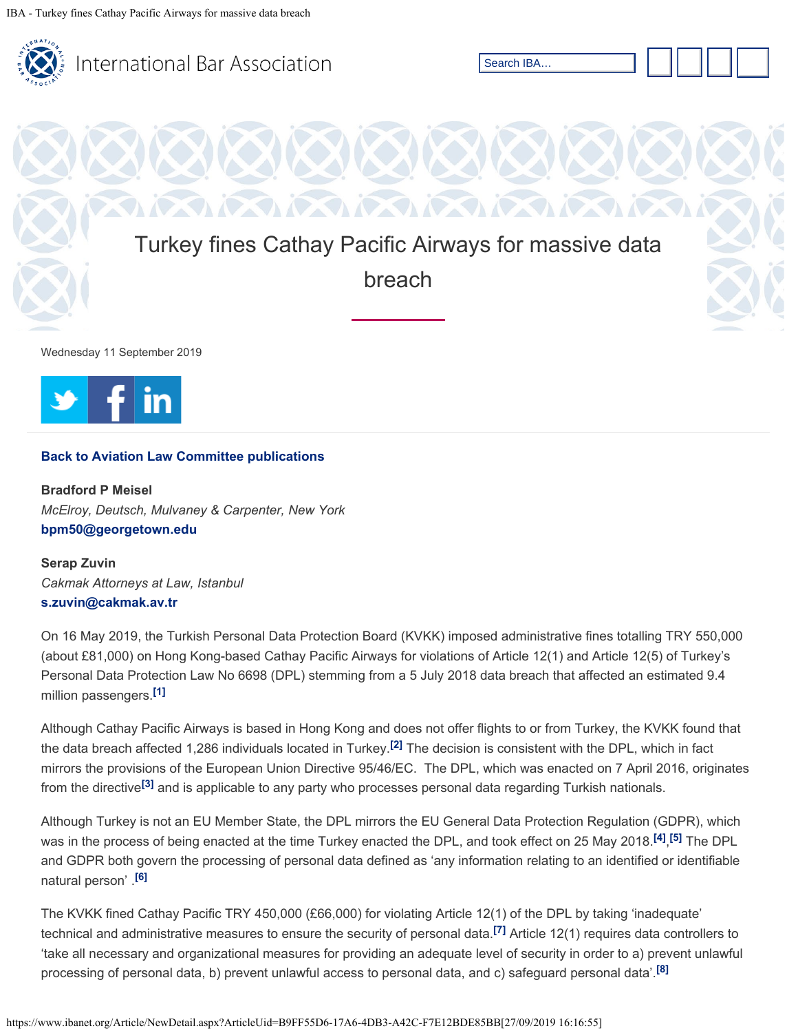



## **[Back to Aviation Law Committee publications](https://www.ibanet.org/LPD/Maritime_Aviation_Law_Section/Aviation_Law/Publications.aspx)**

**Bradford P Meisel** *McElroy, Deutsch, Mulvaney & Carpenter, New York* **[bpm50@georgetown.edu](mailto:bpm50@georgetown.edu)**

**Serap Zuvin** *Cakmak Attorneys at Law, Istanbul* **[s.zuvin@cakmak.av.tr](mailto:s.zuvin@cakmak.av.tr)**

On 16 May 2019, the Turkish Personal Data Protection Board (KVKK) imposed administrative fines totalling TRY 550,000 (about £81,000) on Hong Kong-based Cathay Pacific Airways for violations of Article 12(1) and Article 12(5) of Turkey's Personal Data Protection Law No 6698 (DPL) stemming from a 5 July 2018 data breach that affected an estimated 9.4 million passengers. **[\[1\]](#page-1-0)**

<span id="page-0-1"></span><span id="page-0-0"></span>Although Cathay Pacific Airways is based in Hong Kong and does not offer flights to or from Turkey, the KVKK found that the data breach affected 1,286 individuals located in Turkey.<sup>[\[2\]](#page-2-0)</sup> The decision is consistent with the DPL, which in fact mirrors the provisions of the European Union Directive 95/46/EC. The DPL, which was enacted on 7 April 2016, originates from the directive<sup>[\[3\]](#page-2-1)</sup> and is applicable to any party who processes personal data regarding Turkish nationals.

<span id="page-0-3"></span><span id="page-0-2"></span>Although Turkey is not an EU Member State, the DPL mirrors the EU General Data Protection Regulation (GDPR), which was in the process of being enacted at the time Turkey enacted the DPL, and took effect on 25 May 2018.<sup>[\[4\]](#page-2-2)</sup>,[<sup>5]</sup> The DPL and GDPR both govern the processing of personal data defined as 'any information relating to an identified or identifiable natural person' . **[\[6\]](#page-2-4)**

<span id="page-0-6"></span><span id="page-0-5"></span><span id="page-0-4"></span>The KVKK fined Cathay Pacific TRY 450,000 (£66,000) for violating Article 12(1) of the DPL by taking 'inadequate' technical and administrative measures to ensure the security of personal data.<sup>[\[7\]](#page-2-5)</sup> Article 12(1) requires data controllers to 'take all necessary and organizational measures for providing an adequate level of security in order to a) prevent unlawful processing of personal data, b) prevent unlawful access to personal data, and c) safeguard personal data'. **[\[8\]](#page-2-6)**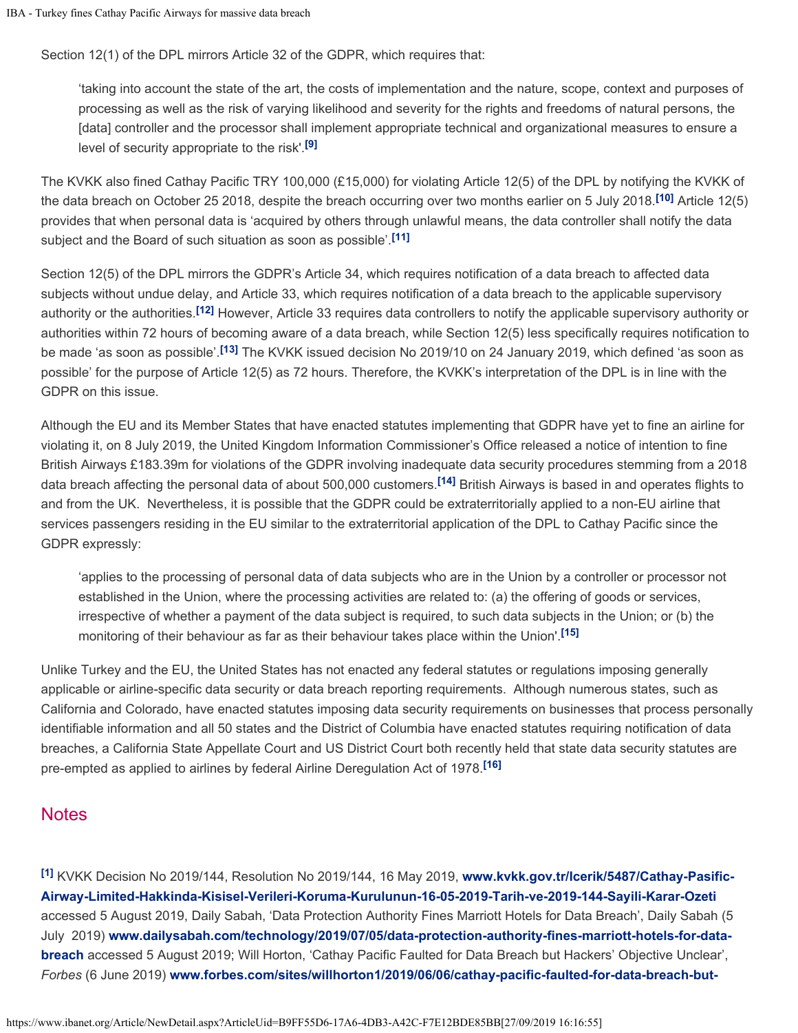Section 12(1) of the DPL mirrors Article 32 of the GDPR, which requires that:

'taking into account the state of the art, the costs of implementation and the nature, scope, context and purposes of processing as well as the risk of varying likelihood and severity for the rights and freedoms of natural persons, the [data] controller and the processor shall implement appropriate technical and organizational measures to ensure a level of security appropriate to the risk'. **[\[9\]](#page-2-7)**

<span id="page-1-2"></span><span id="page-1-1"></span>The KVKK also fined Cathay Pacific TRY 100,000 (£15,000) for violating Article 12(5) of the DPL by notifying the KVKK of the data breach on October 25 2018, despite the breach occurring over two months earlier on 5 July 2018.<sup>[\[10\]](#page-2-8)</sup> Article 12(5) provides that when personal data is 'acquired by others through unlawful means, the data controller shall notify the data subject and the Board of such situation as soon as possible'. **[\[11\]](#page-2-9)**

<span id="page-1-4"></span><span id="page-1-3"></span>Section 12(5) of the DPL mirrors the GDPR's Article 34, which requires notification of a data breach to affected data subjects without undue delay, and Article 33, which requires notification of a data breach to the applicable supervisory authority or the authorities.<sup>[\[12\]](#page-2-10)</sup> However, Article 33 requires data controllers to notify the applicable supervisory authority or authorities within 72 hours of becoming aware of a data breach, while Section 12(5) less specifically requires notification to be made 'as soon as possible'.<sup>[\[13\]](#page-2-11)</sup> The KVKK issued decision No 2019/10 on 24 January 2019, which defined 'as soon as possible' for the purpose of Article 12(5) as 72 hours. Therefore, the KVKK's interpretation of the DPL is in line with the GDPR on this issue.

<span id="page-1-6"></span><span id="page-1-5"></span>Although the EU and its Member States that have enacted statutes implementing that GDPR have yet to fine an airline for violating it, on 8 July 2019, the United Kingdom Information Commissioner's Office released a notice of intention to fine British Airways £183.39m for violations of the GDPR involving inadequate data security procedures stemming from a 2018 data breach affecting the personal data of about 500,000 customers.<sup>[\[14\]](#page-2-12)</sup> British Airways is based in and operates flights to and from the UK. Nevertheless, it is possible that the GDPR could be extraterritorially applied to a non-EU airline that services passengers residing in the EU similar to the extraterritorial application of the DPL to Cathay Pacific since the GDPR expressly:

'applies to the processing of personal data of data subjects who are in the Union by a controller or processor not established in the Union, where the processing activities are related to: (a) the offering of goods or services, irrespective of whether a payment of the data subject is required, to such data subjects in the Union; or (b) the monitoring of their behaviour as far as their behaviour takes place within the Union'. **[\[15\]](#page-2-13)**

<span id="page-1-7"></span>Unlike Turkey and the EU, the United States has not enacted any federal statutes or regulations imposing generally applicable or airline-specific data security or data breach reporting requirements. Although numerous states, such as California and Colorado, have enacted statutes imposing data security requirements on businesses that process personally identifiable information and all 50 states and the District of Columbia have enacted statutes requiring notification of data breaches, a California State Appellate Court and US District Court both recently held that state data security statutes are pre-empted as applied to airlines by federal Airline Deregulation Act of 1978. **[\[16\]](#page-2-14)**

## <span id="page-1-8"></span>**Notes**

<span id="page-1-0"></span>KVKK Decision No 2019/144, Resolution No 2019/144, 16 May 2019, **[www.kvkk.gov.tr/Icerik/5487/Cathay-Pasific-](http://www.kvkk.gov.tr/Icerik/5487/Cathay-Pasific-Airway-Limited-Hakkinda-Kisisel-Verileri-Koruma-Kurulunun-16-05-2019-Tarih-ve-2019-144-Sayili-Karar-Ozeti)[\[1\]](#page-0-0)[Airway-Limited-Hakkinda-Kisisel-Verileri-Koruma-Kurulunun-16-05-2019-Tarih-ve-2019-144-Sayili-Karar-Ozeti](http://www.kvkk.gov.tr/Icerik/5487/Cathay-Pasific-Airway-Limited-Hakkinda-Kisisel-Verileri-Koruma-Kurulunun-16-05-2019-Tarih-ve-2019-144-Sayili-Karar-Ozeti)** accessed 5 August 2019, Daily Sabah, 'Data Protection Authority Fines Marriott Hotels for Data Breach', Daily Sabah (5 July 2019) **[www.dailysabah.com/technology/2019/07/05/data-protection-authority-fines-marriott-hotels-for-data](http://www.dailysabah.com/technology/2019/07/05/data-protection-authority-fines-marriott-hotels-for-data-breach)[breach](http://www.dailysabah.com/technology/2019/07/05/data-protection-authority-fines-marriott-hotels-for-data-breach)** accessed 5 August 2019; Will Horton, 'Cathay Pacific Faulted for Data Breach but Hackers' Objective Unclear', *Forbes* (6 June 2019) **[www.forbes.com/sites/willhorton1/2019/06/06/cathay-pacific-faulted-for-data-breach-but-](http://www.forbes.com/sites/willhorton1/2019/06/06/cathay-pacific-faulted-for-data-breach-but-hackers-objective-unclear/#5256a5617068)**